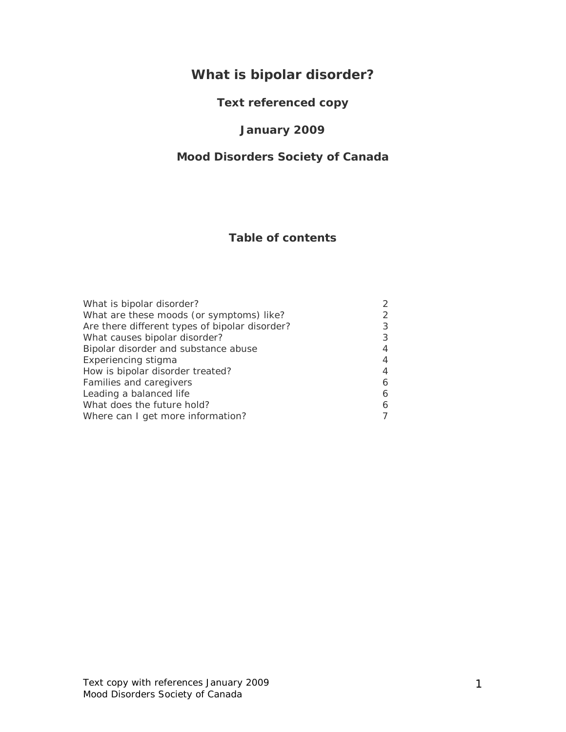# **What is bipolar disorder?**

# **Text referenced copy**

### **January 2009**

### **Mood Disorders Society of Canada**

# **Table of contents**

| What is bipolar disorder?                      | $\mathcal{P}$ |
|------------------------------------------------|---------------|
| What are these moods (or symptoms) like?       | 2             |
| Are there different types of bipolar disorder? | 3             |
| What causes bipolar disorder?                  | 3             |
| Bipolar disorder and substance abuse           | 4             |
| Experiencing stigma                            | 4             |
| How is bipolar disorder treated?               | 4             |
| Families and caregivers                        | 6             |
| Leading a balanced life                        | 6             |
| What does the future hold?                     | 6             |
| Where can I get more information?              |               |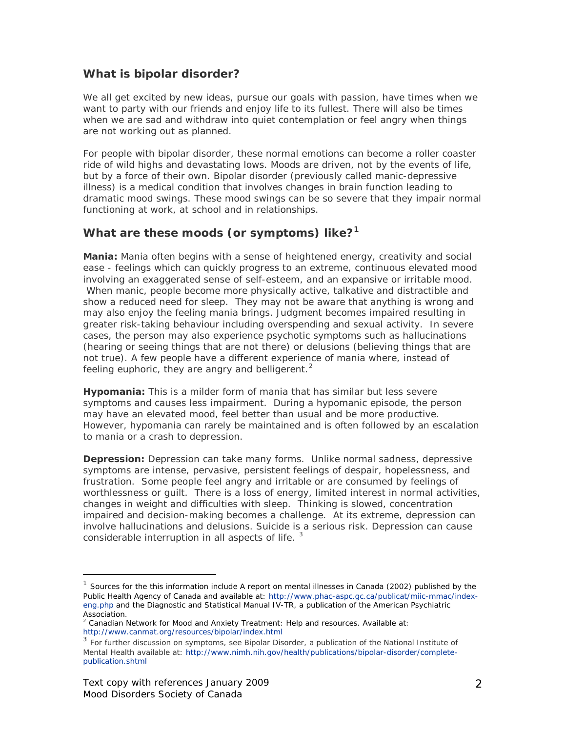### **What is bipolar disorder?**

We all get excited by new ideas, pursue our goals with passion, have times when we want to party with our friends and enjoy life to its fullest. There will also be times when we are sad and withdraw into quiet contemplation or feel angry when things are not working out as planned.

For people with bipolar disorder, these normal emotions can become a roller coaster ride of wild highs and devastating lows. Moods are driven, not by the events of life, but by a force of their own. Bipolar disorder (previously called manic-depressive illness) is a medical condition that involves changes in brain function leading to dramatic mood swings. These mood swings can be so severe that they impair normal functioning at work, at school and in relationships.

### **What are these moods (or symptoms) like?[1](#page-1-0)**

*Mania:* Mania often begins with a sense of heightened energy, creativity and social ease - feelings which can quickly progress to an extreme, continuous elevated mood involving an exaggerated sense of self-esteem, and an expansive or irritable mood. When manic, people become more physically active, talkative and distractible and show a reduced need for sleep. They may not be aware that anything is wrong and may also enjoy the feeling mania brings. Judgment becomes impaired resulting in greater risk-taking behaviour including overspending and sexual activity. In severe cases, the person may also experience psychotic symptoms such as hallucinations (hearing or seeing things that are not there) or delusions (believing things that are not true). A few people have a different experience of mania where, instead of feeling euphoric, they are angry and belligerent.<sup>[2](#page-1-1)</sup>

*Hypomania:* This is a milder form of mania that has similar but less severe symptoms and causes less impairment. During a hypomanic episode, the person may have an elevated mood, feel better than usual and be more productive. However, hypomania can rarely be maintained and is often followed by an escalation to mania or a crash to depression.

**Depression:** Depression can take many forms. Unlike normal sadness, depressive symptoms are intense, pervasive, persistent feelings of despair, hopelessness, and frustration. Some people feel angry and irritable or are consumed by feelings of worthlessness or guilt. There is a loss of energy, limited interest in normal activities, changes in weight and difficulties with sleep. Thinking is slowed, concentration impaired and decision-making becomes a challenge. At its extreme, depression can involve hallucinations and delusions. Suicide is a serious risk. Depression can cause considerable interruption in all aspects of life.  $3$ 

<span id="page-1-0"></span><sup>1</sup> Sources for the this information include *A report on mental illnesses in Canada* (2002) published by the Public Health Agency of Canada and available at[: http://www.phac-aspc.gc.ca/publicat/miic-mmac/index](http://www.phac-aspc.gc.ca/publicat/miic-mmac/index-eng.php)[eng.php](http://www.phac-aspc.gc.ca/publicat/miic-mmac/index-eng.php) and the *Diagnostic and Statistical Manual IV-TR*, a publication of the American Psychiatric Association.

<span id="page-1-1"></span><sup>&</sup>lt;sup>2</sup> Canadian Network for Mood and Anxiety Treatment: Help and resources. Available at: <http://www.canmat.org/resources/bipolar/index.html>

<span id="page-1-2"></span><sup>&</sup>lt;sup>3</sup> For further discussion on symptoms, see Bipolar Disorder, a publication of the National Institute of Mental Health available at: [http://www.nimh.nih.gov/health/publications/bipolar-disorder/complete](http://www.nimh.nih.gov/health/publications/bipolar-disorder/complete-publication.shtml)[publication.shtml](http://www.nimh.nih.gov/health/publications/bipolar-disorder/complete-publication.shtml)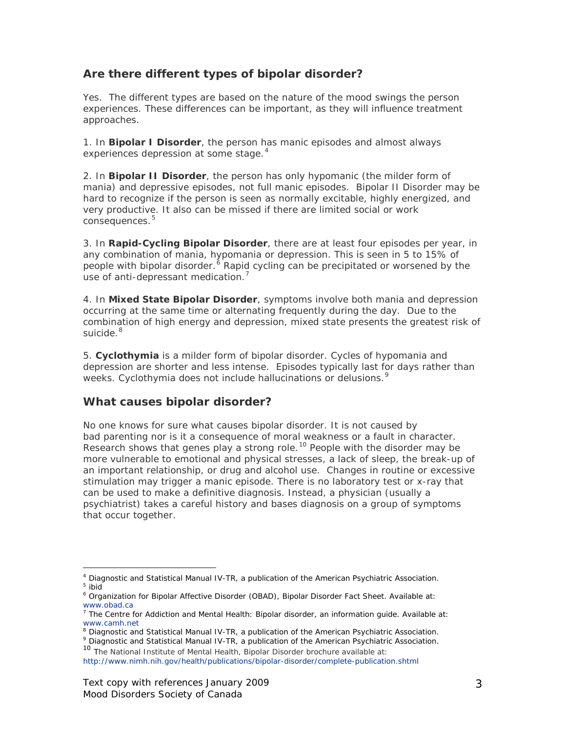### **Are there different types of bipolar disorder?**

Yes. The different types are based on the nature of the mood swings the person experiences. These differences can be important, as they will influence treatment approaches.

1. In *Bipolar I Disorder*, the person has manic episodes and almost always experiences depression at some stage.<sup>[4](#page-2-0)</sup>

2. In *Bipolar II Disorder*, the person has only hypomanic (the milder form of mania) and depressive episodes, not full manic episodes. Bipolar II Disorder may be hard to recognize if the person is seen as normally excitable, highly energized, and very productive. It also can be missed if there are limited social or work consequences. [5](#page-2-1)

3. In *Rapid-Cycling Bipolar Disorder*, there are at least four episodes per year, in any combination of mania, hypomania or depression. This is seen in 5 to 15% of people with bipolar disorder.<sup>[6](#page-2-2)</sup> Rapid cycling can be precipitated or worsened by the use of anti-depressant medication.<sup>[7](#page-2-3)</sup>

4. In *Mixed State Bipolar Disorder*, symptoms involve both mania and depression occurring at the same time or alternating frequently during the day. Due to the combination of high energy and depression, mixed state presents the greatest risk of suicide. <sup>[8](#page-2-4)</sup>

5. *Cyclothymia* is a milder form of bipolar disorder. Cycles of hypomania and depression are shorter and less intense. Episodes typically last for days rather than weeks. Cyclothymia does not include hallucinations or delusions.<sup>[9](#page-2-5)</sup>

#### **What causes bipolar disorder?**

No one knows for sure what causes bipolar disorder. It is not caused by bad parenting nor is it a consequence of moral weakness or a fault in character. Research shows that genes play a strong role.<sup>[10](#page-2-6)</sup> People with the disorder may be more vulnerable to emotional and physical stresses, a lack of sleep, the break-up of an important relationship, or drug and alcohol use. Changes in routine or excessive stimulation may trigger a manic episode. There is no laboratory test or x-ray that can be used to make a definitive diagnosis. Instead, a physician (usually a psychiatrist) takes a careful history and bases diagnosis on a group of symptoms that occur together.

<span id="page-2-1"></span><span id="page-2-0"></span><sup>4</sup> *Diagnostic and Statistical Manual IV-TR*, a publication of the American Psychiatric Association. <sup>5</sup> ibid

<span id="page-2-2"></span><sup>6</sup> Organization for Bipolar Affective Disorder (OBAD), Bipolar Disorder Fact Sheet. Available at: [www.obad.ca](http://www.obad.ca/)

<span id="page-2-3"></span> $7$  The Centre for Addiction and Mental Health: Bipolar disorder, an information guide. Available at: [www.camh.net](http://www.camh.net/)

<sup>8</sup> *Diagnostic and Statistical Manual IV-TR*, a publication of the American Psychiatric Association.

<span id="page-2-6"></span><span id="page-2-5"></span><span id="page-2-4"></span><sup>9</sup> *Diagnostic and Statistical Manual IV-TR*, a publication of the American Psychiatric Association. <sup>10</sup> The National Institute of Mental Health, Bipolar Disorder brochure available at:

<http://www.nimh.nih.gov/health/publications/bipolar-disorder/complete-publication.shtml>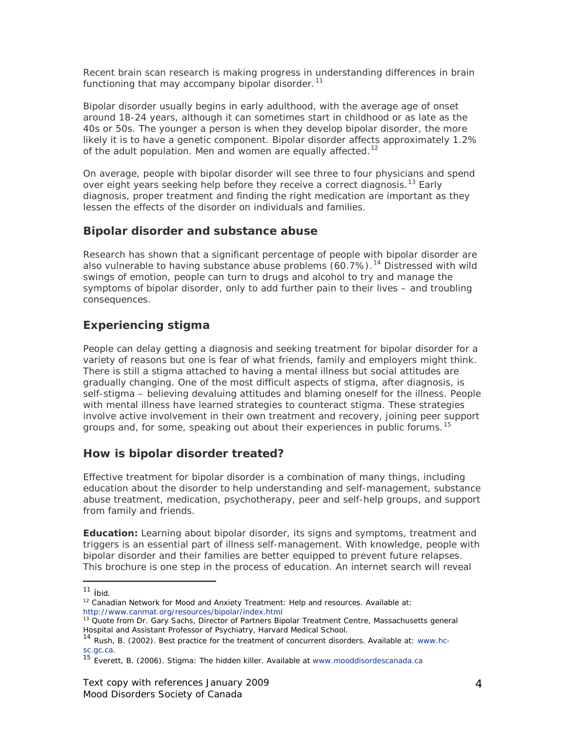Recent brain scan research is making progress in understanding differences in brain functioning that may accompany bipolar disorder.<sup>[11](#page-3-0)</sup>

Bipolar disorder usually begins in early adulthood, with the average age of onset around 18-24 years, although it can sometimes start in childhood or as late as the 40s or 50s. The younger a person is when they develop bipolar disorder, the more likely it is to have a genetic component. Bipolar disorder affects approximately 1.2% of the adult population. Men and women are equally affected.<sup>[12](#page-3-1)</sup>

On average, people with bipolar disorder will see three to four physicians and spend over eight years seeking help before they receive a correct diagnosis.<sup>[13](#page-3-2)</sup> Early diagnosis, proper treatment and finding the right medication are important as they lessen the effects of the disorder on individuals and families.

### **Bipolar disorder and substance abuse**

Research has shown that a significant percentage of people with bipolar disorder are also vulnerable to having substance abuse problems  $(60.7\%)$ .<sup>[14](#page-3-3)</sup> Distressed with wild swings of emotion, people can turn to drugs and alcohol to try and manage the symptoms of bipolar disorder, only to add further pain to their lives – and troubling consequences.

# **Experiencing stigma**

People can delay getting a diagnosis and seeking treatment for bipolar disorder for a variety of reasons but one is fear of what friends, family and employers might think. There is still a stigma attached to having a mental illness but social attitudes are gradually changing. One of the most difficult aspects of stigma, after diagnosis, is self-stigma – believing devaluing attitudes and blaming oneself for the illness. People with mental illness have learned strategies to counteract stigma. These strategies involve active involvement in their own treatment and recovery, joining peer support groups and, for some, speaking out about their experiences in public forums.<sup>[15](#page-3-4)</sup>

### **How is bipolar disorder treated?**

Effective treatment for bipolar disorder is a combination of many things, including education about the disorder to help understanding and self-management, substance abuse treatment, medication, psychotherapy, peer and self-help groups, and support from family and friends.

*Education:* Learning about bipolar disorder, its signs and symptoms, treatment and triggers is an essential part of illness self-management. With knowledge, people with bipolar disorder and their families are better equipped to prevent future relapses. This brochure is one step in the process of education. An internet search will reveal

 $11$  ibid.

<span id="page-3-1"></span><span id="page-3-0"></span><sup>&</sup>lt;sup>12</sup> Canadian Network for Mood and Anxiety Treatment: Help and resources. Available at: <http://www.canmat.org/resources/bipolar/index.html>

<span id="page-3-2"></span><sup>&</sup>lt;sup>13</sup> Quote from Dr. Gary Sachs, Director of Partners Bipolar Treatment Centre, Massachusetts general Hospital and Assistant Professor of Psychiatry, Harvard Medical School.

<span id="page-3-3"></span><sup>14</sup> Rush, B. (2002). Best practice for the treatment of concurrent disorders. Available at: [www.hc](http://www.hc-sc.gc.ca/)[sc.gc.ca.](http://www.hc-sc.gc.ca/)<br><sup>15</sup> Everett, B. (2006). Stigma: The hidden killer. Available at [www.mooddisordescanada.ca](http://www.mooddisordescanada.ca/)

<span id="page-3-4"></span>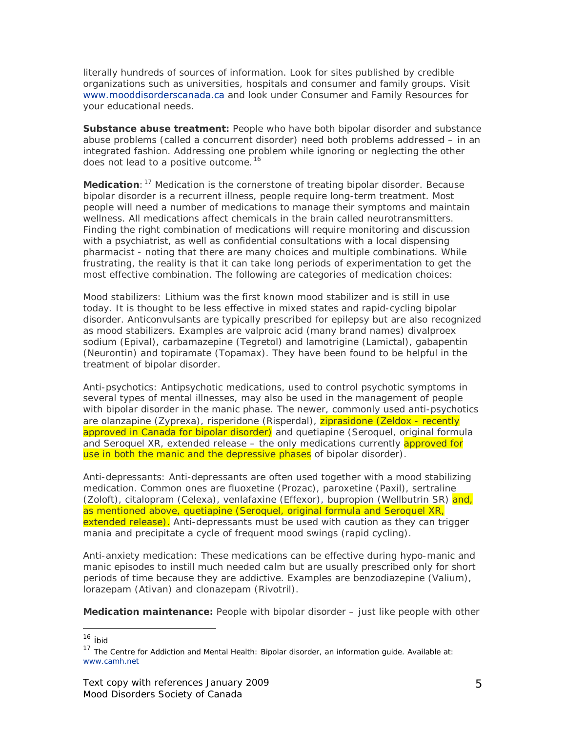literally hundreds of sources of information. Look for sites published by credible organizations such as universities, hospitals and consumer and family groups. Visit [www.mooddisorderscanada.ca](http://www.mooddisorderscanada.ca/) and look under Consumer and Family Resources for your educational needs.

**Substance abuse treatment:** People who have both bipolar disorder and substance abuse problems (called a concurrent disorder) need both problems addressed – in an integrated fashion. Addressing one problem while ignoring or neglecting the other does not lead to a positive outcome.<sup>[16](#page-4-0)</sup>

*Medication*:<sup>[17](#page-4-1)</sup> Medication is the cornerstone of treating bipolar disorder. Because bipolar disorder is a recurrent illness, people require long-term treatment. Most people will need a number of medications to manage their symptoms and maintain wellness. All medications affect chemicals in the brain called neurotransmitters. Finding the right combination of medications will require monitoring and discussion with a psychiatrist, as well as confidential consultations with a local dispensing pharmacist - noting that there are many choices and multiple combinations. While frustrating, the reality is that it can take long periods of experimentation to get the most effective combination. The following are categories of medication choices:

*Mood stabilizers:* Lithium was the first known mood stabilizer and is still in use today. It is thought to be less effective in mixed states and rapid-cycling bipolar disorder. Anticonvulsants are typically prescribed for epilepsy but are also recognized as mood stabilizers. Examples are valproic acid (many brand names) divalproex sodium (Epival), carbamazepine (Tegretol) and lamotrigine (Lamictal), gabapentin (Neurontin) and topiramate (Topamax). They have been found to be helpful in the treatment of bipolar disorder.

*Anti-psychotics:* Antipsychotic medications, used to control psychotic symptoms in several types of mental illnesses, may also be used in the management of people with bipolar disorder in the manic phase. The newer, commonly used anti-psychotics are olanzapine (Zyprexa), risperidone (Risperdal), ziprasidone (Zeldox - recently approved in Canada for bipolar disorder) and quetiapine (Seroquel, original formula and Seroquel XR, extended release – the only medications currently approved for use in both the manic and the depressive phases of bipolar disorder).

*Anti-depressants*: Anti-depressants are often used together with a mood stabilizing medication. Common ones are fluoxetine (Prozac), paroxetine (Paxil), sertraline (Zoloft), citalopram (Celexa), venlafaxine (Effexor), bupropion (Wellbutrin SR) and, as mentioned above, quetiapine (Seroquel, original formula and Seroquel XR, extended release). Anti-depressants must be used with caution as they can trigger mania and precipitate a cycle of frequent mood swings (rapid cycling).

*Anti-anxiety medication:* These medications can be effective during hypo-manic and manic episodes to instill much needed calm but are usually prescribed only for short periods of time because they are addictive. Examples are benzodiazepine (Valium), lorazepam (Ativan) and clonazepam (Rivotril).

*Medication maintenance:* People with bipolar disorder – just like people with other

<sup>&</sup>lt;sup>16</sup> ibid

<span id="page-4-1"></span><span id="page-4-0"></span><sup>&</sup>lt;sup>17</sup> The Centre for Addiction and Mental Health: Bipolar disorder, an information guide. Available at: [www.camh.net](http://www.camh.net/)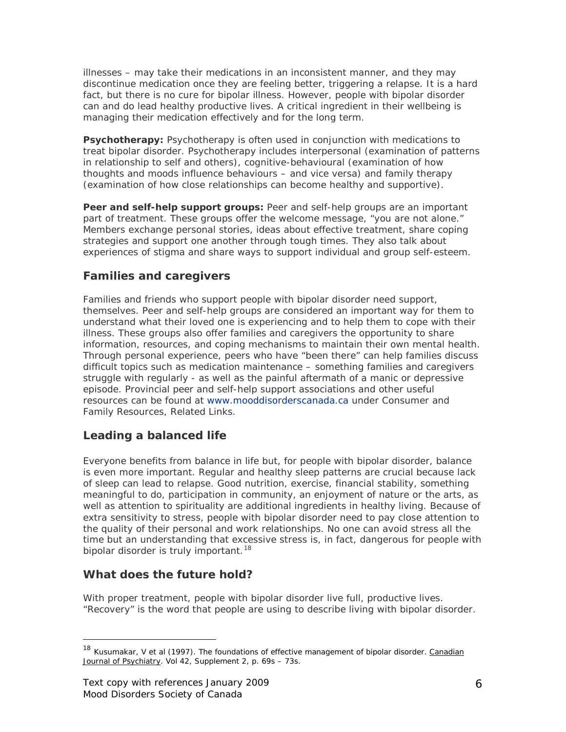illnesses – may take their medications in an inconsistent manner, and they may discontinue medication once they are feeling better, triggering a relapse. It is a hard fact, but there is no cure for bipolar illness. However, people with bipolar disorder can and do lead healthy productive lives. A critical ingredient in their wellbeing is managing their medication effectively and for the long term.

**Psychotherapy:** Psychotherapy is often used in conjunction with medications to treat bipolar disorder. Psychotherapy includes interpersonal (examination of patterns in relationship to self and others), cognitive-behavioural (examination of how thoughts and moods influence behaviours – and vice versa) and family therapy (examination of how close relationships can become healthy and supportive).

*Peer and self-help support groups:* Peer and self-help groups are an important part of treatment. These groups offer the welcome message, "you are not alone." Members exchange personal stories, ideas about effective treatment, share coping strategies and support one another through tough times. They also talk about experiences of stigma and share ways to support individual and group self-esteem.

# **Families and caregivers**

Families and friends who support people with bipolar disorder need support, themselves. Peer and self-help groups are considered an important way for them to understand what their loved one is experiencing and to help them to cope with their illness. These groups also offer families and caregivers the opportunity to share information, resources, and coping mechanisms to maintain their own mental health. Through personal experience, peers who have "been there" can help families discuss difficult topics such as medication maintenance – something families and caregivers struggle with regularly - as well as the painful aftermath of a manic or depressive episode. Provincial peer and self-help support associations and other useful resources can be found at [www.mooddisorderscanada.ca](http://www.mooddisorderscanada.ca/) under Consumer and Family Resources, Related Links.

# **Leading a balanced life**

Everyone benefits from balance in life but, for people with bipolar disorder, balance is even more important. Regular and healthy sleep patterns are crucial because lack of sleep can lead to relapse. Good nutrition, exercise, financial stability, something meaningful to do, participation in community, an enjoyment of nature or the arts, as well as attention to spirituality are additional ingredients in healthy living. Because of extra sensitivity to stress, people with bipolar disorder need to pay close attention to the quality of their personal and work relationships. No one can avoid stress all the time but an understanding that excessive stress is, in fact, dangerous for people with bipolar disorder is truly important.<sup>[18](#page-5-0)</sup>

# **What does the future hold?**

 $\overline{a}$ 

With proper treatment, people with bipolar disorder live full, productive lives. "Recovery" is the word that people are using to describe living with bipolar disorder.

<span id="page-5-0"></span><sup>&</sup>lt;sup>18</sup> Kusumakar, V et al (1997). The foundations of effective management of bipolar disorder. Canadian Journal of Psychiatry. Vol 42, Supplement 2, p. 69s - 73s.